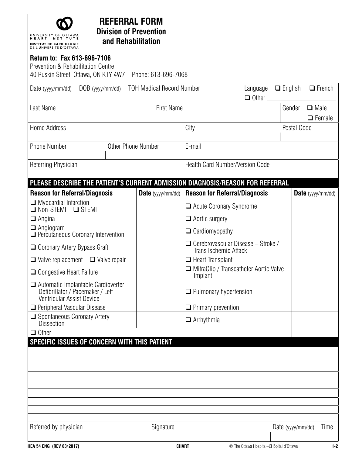| UNIVERSITY OF OTTAWA<br><b>ART INSTITUTE</b><br>INSTITUT DE CARDIOLOGIE<br>DE L'UNIVERSITÉ D'OTTAWA        | <b>REFERRAL FORM</b><br><b>Division of Prevention</b><br>and Rehabilitation |                                                                    |                                          |                    |                          |
|------------------------------------------------------------------------------------------------------------|-----------------------------------------------------------------------------|--------------------------------------------------------------------|------------------------------------------|--------------------|--------------------------|
| Return to: Fax 613-696-7106<br>Prevention & Rehabilitation Centre<br>40 Ruskin Street, Ottawa, ON K1Y 4W7  | Phone: 613-696-7068                                                         |                                                                    |                                          |                    |                          |
| Date (yyyy/mm/dd)<br>$DOB$ (yyyy/mm/dd)                                                                    | <b>TOH Medical Record Number</b>                                            | $\Box$ French<br>$\Box$ English<br>Language<br>$\Box$ Other        |                                          |                    |                          |
| Last Name                                                                                                  | <b>First Name</b>                                                           | $\Box$ Male<br>Gender<br>$\Box$ Female                             |                                          |                    |                          |
| <b>Home Address</b>                                                                                        | City                                                                        | Postal Code                                                        |                                          |                    |                          |
| <b>Phone Number</b>                                                                                        | Other Phone Number                                                          | E-mail                                                             |                                          |                    |                          |
| Referring Physician                                                                                        |                                                                             | Health Card Number/Version Code                                    |                                          |                    |                          |
| PLEASE DESCRIBE THE PATIENT'S CURRENT ADMISSION DIAGNOSIS/REASON FOR REFERRAL                              |                                                                             |                                                                    |                                          |                    |                          |
| <b>Reason for Referral/Diagnosis</b>                                                                       | <b>Date</b> (yyyy/mm/dd)                                                    | <b>Reason for Referral/Diagnosis</b>                               |                                          |                    | <b>Date</b> (yyyy/mm/dd) |
| $\Box$ Myocardial Infarction<br>Non-STEMI<br>$\Box$ STEMI                                                  |                                                                             | Acute Coronary Syndrome                                            |                                          |                    |                          |
| $\Box$ Angina                                                                                              |                                                                             | $\Box$ Aortic surgery                                              |                                          |                    |                          |
| $\Box$ Angiogram<br>$\Box$ Percutaneous Coronary Intervention                                              |                                                                             | $\Box$ Cardiomyopathy                                              |                                          |                    |                          |
| □ Coronary Artery Bypass Graft                                                                             |                                                                             | $\Box$ Cerebrovascular Disease - Stroke /<br>Trans Ischemic Attack |                                          |                    |                          |
| $\Box$ Valve replacement $\Box$ Valve repair                                                               |                                                                             | $\Box$ Heart Transplant                                            |                                          |                    |                          |
| $\Box$ Congestive Heart Failure                                                                            |                                                                             | □ MitraClip / Transcatheter Aortic Valve<br>Implant                |                                          |                    |                          |
| $\Box$ Automatic Implantable Cardioverter<br>Defibrillator / Pacemaker / Left<br>Ventricular Assist Device |                                                                             | $\Box$ Pulmonary hypertension                                      |                                          |                    |                          |
| Peripheral Vascular Disease                                                                                |                                                                             | $\Box$ Primary prevention                                          |                                          |                    |                          |
| $\Box$ Spontaneous Coronary Artery<br><b>Dissection</b>                                                    |                                                                             | $\Box$ Arrhythmia                                                  |                                          |                    |                          |
| $\Box$ Other<br>SPECIFIC ISSUES OF CONCERN WITH THIS PATIENT                                               |                                                                             |                                                                    |                                          |                    |                          |
|                                                                                                            |                                                                             |                                                                    |                                          |                    |                          |
| Referred by physician                                                                                      | Signature                                                                   |                                                                    |                                          | Date $(yyy/mm/dd)$ | Time                     |
| HEA 54 ENG (REV 03/2017)                                                                                   |                                                                             | <b>CHART</b>                                                       | © The Ottawa Hospital-L'Hôpital d'Ottawa |                    | $1 - 2$                  |